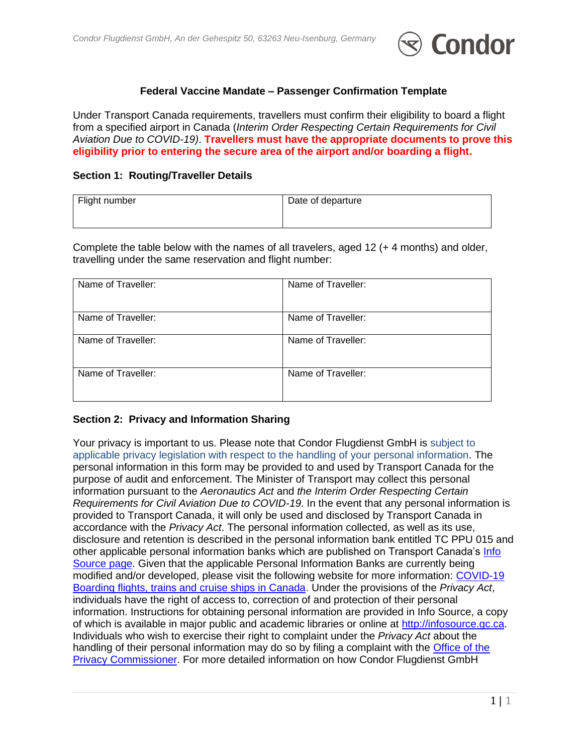

### **Federal Vaccine Mandate – Passenger Confirmation Template**

Under Transport Canada requirements, travellers must confirm their eligibility to board a flight from a specified airport in Canada (*Interim Order Respecting Certain Requirements for Civil Aviation Due to COVID-19)*. **Travellers must have the appropriate documents to prove this eligibility prior to entering the secure area of the airport and/or boarding a flight.**

### **Section 1: Routing/Traveller Details**

| Flight number | Date of departure |
|---------------|-------------------|
|               |                   |

Complete the table below with the names of all travelers, aged 12 (+ 4 months) and older, travelling under the same reservation and flight number:

| Name of Traveller: | Name of Traveller: |
|--------------------|--------------------|
| Name of Traveller: | Name of Traveller: |
| Name of Traveller: | Name of Traveller: |
| Name of Traveller: | Name of Traveller: |

## **Section 2: Privacy and Information Sharing**

Your privacy is important to us. Please note that Condor Flugdienst GmbH is subject to applicable privacy legislation with respect to the handling of your personal information. The personal information in this form may be provided to and used by Transport Canada for the purpose of audit and enforcement. The Minister of Transport may collect this personal information pursuant to the *Aeronautics Act* and *the Interim Order Respecting Certain Requirements for Civil Aviation Due to COVID-19*. In the event that any personal information is provided to Transport Canada, it will only be used and disclosed by Transport Canada in accordance with the *Privacy Act*. The personal information collected, as well as its use, disclosure and retention is described in the personal information bank entitled TC PPU 015 and other applicable personal information banks which are published on Transport Canada's [Info](https://tc.canada.ca/en/info-source)  [Source page.](https://tc.canada.ca/en/info-source) Given that the applicable Personal Information Banks are currently being modified and/or developed, please visit the following website for more information: COVID-19 [Boarding flights, trains and cruise ships in Canada.](https://travel.gc.ca/travel-covid/travel-restrictions/domestic-travel?_ga=2.169478179.348321895.1635476001-2060080422.1630614541) Under the provisions of the *Privacy Act*, individuals have the right of access to, correction of and protection of their personal information. Instructions for obtaining personal information are provided in Info Source, a copy of which is available in major public and academic libraries or online at [http://infosource.gc.ca.](http://infosource.gc.ca/) Individuals who wish to exercise their right to complaint under the *Privacy Act* about the handling of their personal information may do so by filing a complaint with the [Office of the](https://www.priv.gc.ca/en/report-a-concern/)  [Privacy Commissioner.](https://www.priv.gc.ca/en/report-a-concern/) For more detailed information on how Condor Flugdienst GmbH